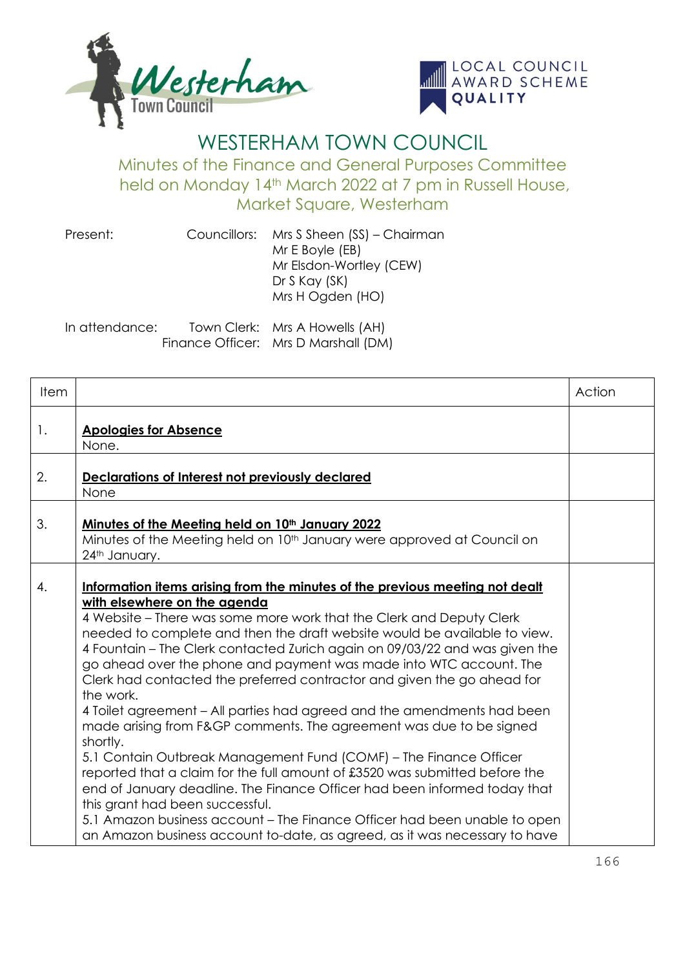



## WESTERHAM TOWN COUNCIL

Minutes of the Finance and General Purposes Committee held on Monday 14th March 2022 at 7 pm in Russell House, Market Square, Westerham

| Present:       | Councillors: Mrs S Sheen (SS) – Chairman<br>Mr E Boyle (EB)<br>Mr Elsdon-Wortley (CEW)<br>$Dr S$ Kay $(SK)$<br>Mrs H Ogden (HO) |
|----------------|---------------------------------------------------------------------------------------------------------------------------------|
| In attendance: | Town Clerk: Mrs A Howells (AH)                                                                                                  |

Finance Officer: Mrs D Marshall (DM)

| <b>Item</b> |                                                                                                                                                                                                                                                                                                                                                                                                                                                                                                                                                                                                                                                                                                                                                                                                                                                                                                                                                                                                                                                                                                             | Action |
|-------------|-------------------------------------------------------------------------------------------------------------------------------------------------------------------------------------------------------------------------------------------------------------------------------------------------------------------------------------------------------------------------------------------------------------------------------------------------------------------------------------------------------------------------------------------------------------------------------------------------------------------------------------------------------------------------------------------------------------------------------------------------------------------------------------------------------------------------------------------------------------------------------------------------------------------------------------------------------------------------------------------------------------------------------------------------------------------------------------------------------------|--------|
| 1.          | <b>Apologies for Absence</b><br>None.                                                                                                                                                                                                                                                                                                                                                                                                                                                                                                                                                                                                                                                                                                                                                                                                                                                                                                                                                                                                                                                                       |        |
| 2.          | Declarations of Interest not previously declared<br>None                                                                                                                                                                                                                                                                                                                                                                                                                                                                                                                                                                                                                                                                                                                                                                                                                                                                                                                                                                                                                                                    |        |
| 3.          | <u>Minutes of the Meeting held on 10th January 2022</u><br>Minutes of the Meeting held on 10 <sup>th</sup> January were approved at Council on<br>24th January.                                                                                                                                                                                                                                                                                                                                                                                                                                                                                                                                                                                                                                                                                                                                                                                                                                                                                                                                             |        |
| 4.          | Information items arising from the minutes of the previous meeting not dealt<br>with elsewhere on the agenda<br>4 Website – There was some more work that the Clerk and Deputy Clerk<br>needed to complete and then the draft website would be available to view.<br>4 Fountain – The Clerk contacted Zurich again on 09/03/22 and was given the<br>go ahead over the phone and payment was made into WTC account. The<br>Clerk had contacted the preferred contractor and given the go ahead for<br>the work.<br>4 Toilet agreement – All parties had agreed and the amendments had been<br>made arising from F&GP comments. The agreement was due to be signed<br>shortly.<br>5.1 Contain Outbreak Management Fund (COMF) – The Finance Officer<br>reported that a claim for the full amount of £3520 was submitted before the<br>end of January deadline. The Finance Officer had been informed today that<br>this grant had been successful.<br>5.1 Amazon business account – The Finance Officer had been unable to open<br>an Amazon business account to-date, as agreed, as it was necessary to have |        |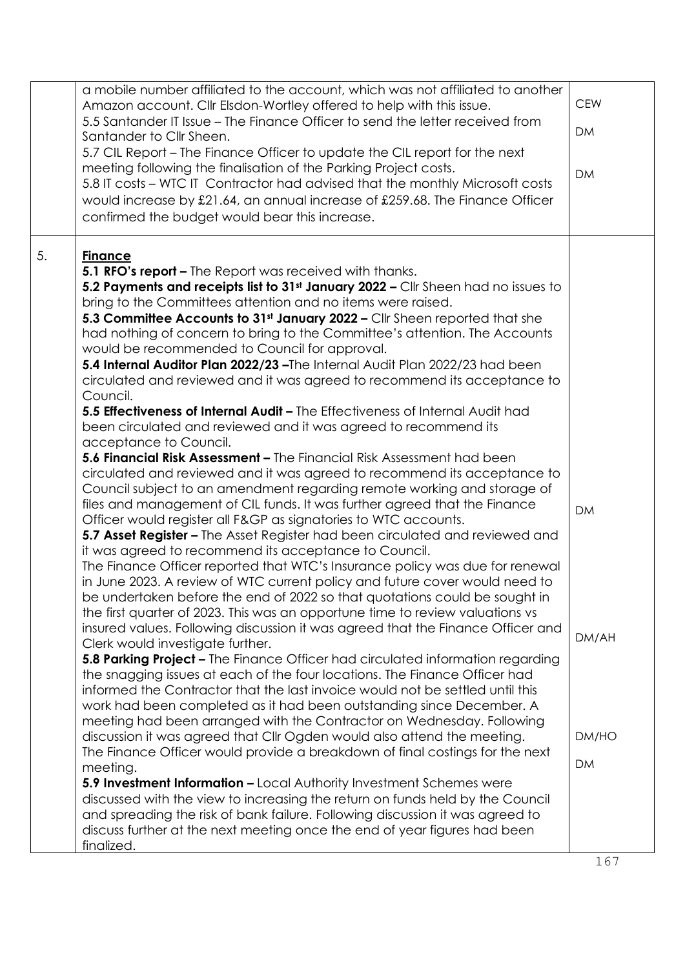|    | a mobile number affiliated to the account, which was not affiliated to another<br>Amazon account. Cllr Elsdon-Wortley offered to help with this issue.<br>5.5 Santander IT Issue – The Finance Officer to send the letter received from<br>Santander to Cllr Sheen.<br>5.7 CIL Report – The Finance Officer to update the CIL report for the next<br>meeting following the finalisation of the Parking Project costs.<br>5.8 IT costs – WTC IT Contractor had advised that the monthly Microsoft costs<br>would increase by £21.64, an annual increase of £259.68. The Finance Officer<br>confirmed the budget would bear this increase.                                                                                                                                                                                                                                                                                                                                                                                                                                                                                                                                                                                                                                                                                                                                                                                                                                                                                                                                                                                                                                                                                                                                                                                                                                                                                                                                                                                                                                                                                                                                                                                                                                                                                                                                                                                                                                                                                                                                                                                                                                                                                     | <b>CEW</b><br><b>DM</b><br><b>DM</b>     |
|----|------------------------------------------------------------------------------------------------------------------------------------------------------------------------------------------------------------------------------------------------------------------------------------------------------------------------------------------------------------------------------------------------------------------------------------------------------------------------------------------------------------------------------------------------------------------------------------------------------------------------------------------------------------------------------------------------------------------------------------------------------------------------------------------------------------------------------------------------------------------------------------------------------------------------------------------------------------------------------------------------------------------------------------------------------------------------------------------------------------------------------------------------------------------------------------------------------------------------------------------------------------------------------------------------------------------------------------------------------------------------------------------------------------------------------------------------------------------------------------------------------------------------------------------------------------------------------------------------------------------------------------------------------------------------------------------------------------------------------------------------------------------------------------------------------------------------------------------------------------------------------------------------------------------------------------------------------------------------------------------------------------------------------------------------------------------------------------------------------------------------------------------------------------------------------------------------------------------------------------------------------------------------------------------------------------------------------------------------------------------------------------------------------------------------------------------------------------------------------------------------------------------------------------------------------------------------------------------------------------------------------------------------------------------------------------------------------------------------------|------------------------------------------|
| 5. | <b>Finance</b><br>5.1 RFO's report - The Report was received with thanks.<br>5.2 Payments and receipts list to 31 <sup>st</sup> January 2022 - Cllr Sheen had no issues to<br>bring to the Committees attention and no items were raised.<br>5.3 Committee Accounts to 31 <sup>st</sup> January 2022 - Cllr Sheen reported that she<br>had nothing of concern to bring to the Committee's attention. The Accounts<br>would be recommended to Council for approval.<br>5.4 Internal Auditor Plan 2022/23 - The Internal Audit Plan 2022/23 had been<br>circulated and reviewed and it was agreed to recommend its acceptance to<br>Council.<br>5.5 <b>Effectiveness of Internal Audit -</b> The Effectiveness of Internal Audit had<br>been circulated and reviewed and it was agreed to recommend its<br>acceptance to Council.<br>5.6 Financial Risk Assessment - The Financial Risk Assessment had been<br>circulated and reviewed and it was agreed to recommend its acceptance to<br>Council subject to an amendment regarding remote working and storage of<br>files and management of CIL funds. It was further agreed that the Finance<br>Officer would register all F&GP as signatories to WTC accounts.<br>5.7 Asset Register - The Asset Register had been circulated and reviewed and<br>it was agreed to recommend its acceptance to Council.<br>The Finance Officer reported that WTC's Insurance policy was due for renewal<br>in June 2023. A review of WTC current policy and future cover would need to<br>be undertaken before the end of 2022 so that quotations could be sought in<br>the first quarter of 2023. This was an opportune time to review valuations vs<br>insured values. Following discussion it was agreed that the Finance Officer and<br>Clerk would investigate further.<br>5.8 Parking Project - The Finance Officer had circulated information regarding<br>the snagging issues at each of the four locations. The Finance Officer had<br>informed the Contractor that the last invoice would not be settled until this<br>work had been completed as it had been outstanding since December. A<br>meeting had been arranged with the Contractor on Wednesday. Following<br>discussion it was agreed that Cllr Ogden would also attend the meeting.<br>The Finance Officer would provide a breakdown of final costings for the next<br>meeting.<br>5.9 Investment Information - Local Authority Investment Schemes were<br>discussed with the view to increasing the return on funds held by the Council<br>and spreading the risk of bank failure. Following discussion it was agreed to<br>discuss further at the next meeting once the end of year figures had been<br>finalized. | <b>DM</b><br>DM/AH<br>DM/HO<br><b>DM</b> |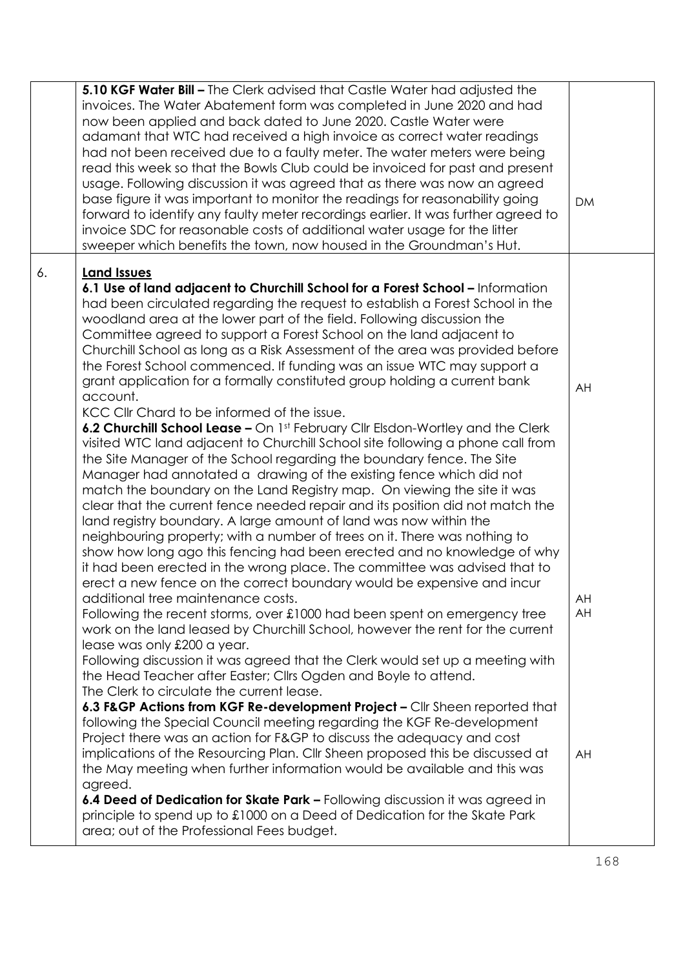|    | 5.10 KGF Water Bill - The Clerk advised that Castle Water had adjusted the<br>invoices. The Water Abatement form was completed in June 2020 and had<br>now been applied and back dated to June 2020. Castle Water were<br>adamant that WTC had received a high invoice as correct water readings<br>had not been received due to a faulty meter. The water meters were being<br>read this week so that the Bowls Club could be invoiced for past and present<br>usage. Following discussion it was agreed that as there was now an agreed<br>base figure it was important to monitor the readings for reasonability going<br>forward to identify any faulty meter recordings earlier. It was further agreed to<br>invoice SDC for reasonable costs of additional water usage for the litter                                                                                                                                                                                                                                                                                                                                                                                                                                                                                                                                                                                                                                                                                                                                                                                                                                                                                                                                                                                                                                                                                                                                                                                                                                                                                                                                                                                                                                                                                                                                                                                                                                                                                                                        | <b>DM</b>            |
|----|--------------------------------------------------------------------------------------------------------------------------------------------------------------------------------------------------------------------------------------------------------------------------------------------------------------------------------------------------------------------------------------------------------------------------------------------------------------------------------------------------------------------------------------------------------------------------------------------------------------------------------------------------------------------------------------------------------------------------------------------------------------------------------------------------------------------------------------------------------------------------------------------------------------------------------------------------------------------------------------------------------------------------------------------------------------------------------------------------------------------------------------------------------------------------------------------------------------------------------------------------------------------------------------------------------------------------------------------------------------------------------------------------------------------------------------------------------------------------------------------------------------------------------------------------------------------------------------------------------------------------------------------------------------------------------------------------------------------------------------------------------------------------------------------------------------------------------------------------------------------------------------------------------------------------------------------------------------------------------------------------------------------------------------------------------------------------------------------------------------------------------------------------------------------------------------------------------------------------------------------------------------------------------------------------------------------------------------------------------------------------------------------------------------------------------------------------------------------------------------------------------------------|----------------------|
| 6. | sweeper which benefits the town, now housed in the Groundman's Hut.<br><b>Land Issues</b><br>6.1 Use of land adjacent to Churchill School for a Forest School - Information<br>had been circulated regarding the request to establish a Forest School in the<br>woodland area at the lower part of the field. Following discussion the<br>Committee agreed to support a Forest School on the land adjacent to<br>Churchill School as long as a Risk Assessment of the area was provided before<br>the Forest School commenced. If funding was an issue WTC may support a<br>grant application for a formally constituted group holding a current bank<br>account.<br>KCC Cllr Chard to be informed of the issue.<br>6.2 Churchill School Lease - On 1st February Cllr Elsdon-Wortley and the Clerk<br>visited WTC land adjacent to Churchill School site following a phone call from<br>the Site Manager of the School regarding the boundary fence. The Site<br>Manager had annotated a drawing of the existing fence which did not<br>match the boundary on the Land Registry map. On viewing the site it was<br>clear that the current fence needed repair and its position did not match the<br>land registry boundary. A large amount of land was now within the<br>neighbouring property; with a number of trees on it. There was nothing to<br>show how long ago this fencing had been erected and no knowledge of why<br>it had been erected in the wrong place. The committee was advised that to<br>erect a new fence on the correct boundary would be expensive and incur<br>additional tree maintenance costs.<br>Following the recent storms, over £1000 had been spent on emergency tree<br>work on the land leased by Churchill School, however the rent for the current<br>lease was only £200 a year.<br>Following discussion it was agreed that the Clerk would set up a meeting with<br>the Head Teacher after Easter; Cllrs Ogden and Boyle to attend.<br>The Clerk to circulate the current lease.<br>6.3 F&GP Actions from KGF Re-development Project - Cllr Sheen reported that<br>following the Special Council meeting regarding the KGF Re-development<br>Project there was an action for F&GP to discuss the adequacy and cost<br>implications of the Resourcing Plan. Cllr Sheen proposed this be discussed at<br>the May meeting when further information would be available and this was<br>agreed.<br>6.4 Deed of Dedication for Skate Park - Following discussion it was agreed in | AH<br>AH<br>AH<br>AH |
|    | principle to spend up to £1000 on a Deed of Dedication for the Skate Park<br>area; out of the Professional Fees budget.                                                                                                                                                                                                                                                                                                                                                                                                                                                                                                                                                                                                                                                                                                                                                                                                                                                                                                                                                                                                                                                                                                                                                                                                                                                                                                                                                                                                                                                                                                                                                                                                                                                                                                                                                                                                                                                                                                                                                                                                                                                                                                                                                                                                                                                                                                                                                                                            |                      |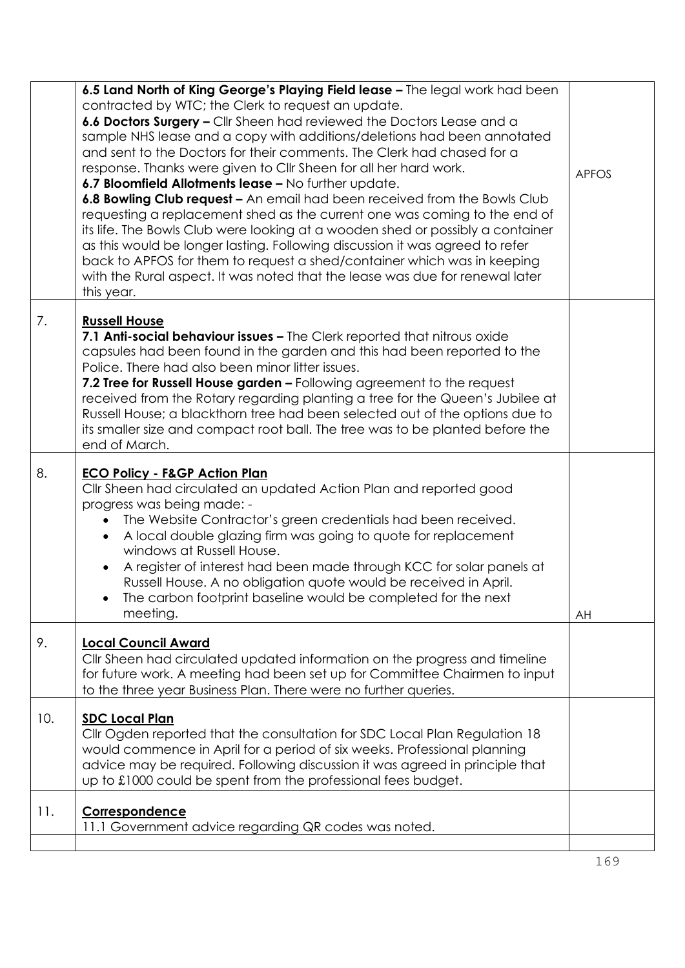|     | 6.5 Land North of King George's Playing Field lease - The legal work had been<br>contracted by WTC; the Clerk to request an update.<br>6.6 Doctors Surgery - Cllr Sheen had reviewed the Doctors Lease and a<br>sample NHS lease and a copy with additions/deletions had been annotated<br>and sent to the Doctors for their comments. The Clerk had chased for a<br>response. Thanks were given to CIIr Sheen for all her hard work.<br>6.7 Bloomfield Allotments lease - No further update.<br>6.8 Bowling Club request - An email had been received from the Bowls Club<br>requesting a replacement shed as the current one was coming to the end of<br>its life. The Bowls Club were looking at a wooden shed or possibly a container<br>as this would be longer lasting. Following discussion it was agreed to refer<br>back to APFOS for them to request a shed/container which was in keeping<br>with the Rural aspect. It was noted that the lease was due for renewal later<br>this year. | <b>APFOS</b> |
|-----|----------------------------------------------------------------------------------------------------------------------------------------------------------------------------------------------------------------------------------------------------------------------------------------------------------------------------------------------------------------------------------------------------------------------------------------------------------------------------------------------------------------------------------------------------------------------------------------------------------------------------------------------------------------------------------------------------------------------------------------------------------------------------------------------------------------------------------------------------------------------------------------------------------------------------------------------------------------------------------------------------|--------------|
| 7.  | <b>Russell House</b><br>7.1 Anti-social behaviour issues - The Clerk reported that nitrous oxide<br>capsules had been found in the garden and this had been reported to the<br>Police. There had also been minor litter issues.<br>7.2 Tree for Russell House garden - Following agreement to the request<br>received from the Rotary regarding planting a tree for the Queen's Jubilee at<br>Russell House; a blackthorn tree had been selected out of the options due to<br>its smaller size and compact root ball. The tree was to be planted before the<br>end of March.                                                                                                                                                                                                                                                                                                                                                                                                                       |              |
| 8.  | <b>ECO Policy - F&amp;GP Action Plan</b><br>Cllr Sheen had circulated an updated Action Plan and reported good<br>progress was being made: -<br>The Website Contractor's green credentials had been received.<br>A local double glazing firm was going to quote for replacement<br>windows at Russell House.<br>A register of interest had been made through KCC for solar panels at<br>Russell House. A no obligation quote would be received in April.<br>The carbon footprint baseline would be completed for the next<br>meeting.                                                                                                                                                                                                                                                                                                                                                                                                                                                              | AH           |
| 9.  | <b>Local Council Award</b><br>Cllr Sheen had circulated updated information on the progress and timeline<br>for future work. A meeting had been set up for Committee Chairmen to input<br>to the three year Business Plan. There were no further queries.                                                                                                                                                                                                                                                                                                                                                                                                                                                                                                                                                                                                                                                                                                                                          |              |
| 10. | <b>SDC Local Plan</b><br>Cllr Ogden reported that the consultation for SDC Local Plan Regulation 18<br>would commence in April for a period of six weeks. Professional planning<br>advice may be required. Following discussion it was agreed in principle that<br>up to £1000 could be spent from the professional fees budget.                                                                                                                                                                                                                                                                                                                                                                                                                                                                                                                                                                                                                                                                   |              |
| 11. | Correspondence<br>11.1 Government advice regarding QR codes was noted.                                                                                                                                                                                                                                                                                                                                                                                                                                                                                                                                                                                                                                                                                                                                                                                                                                                                                                                             |              |
|     |                                                                                                                                                                                                                                                                                                                                                                                                                                                                                                                                                                                                                                                                                                                                                                                                                                                                                                                                                                                                    |              |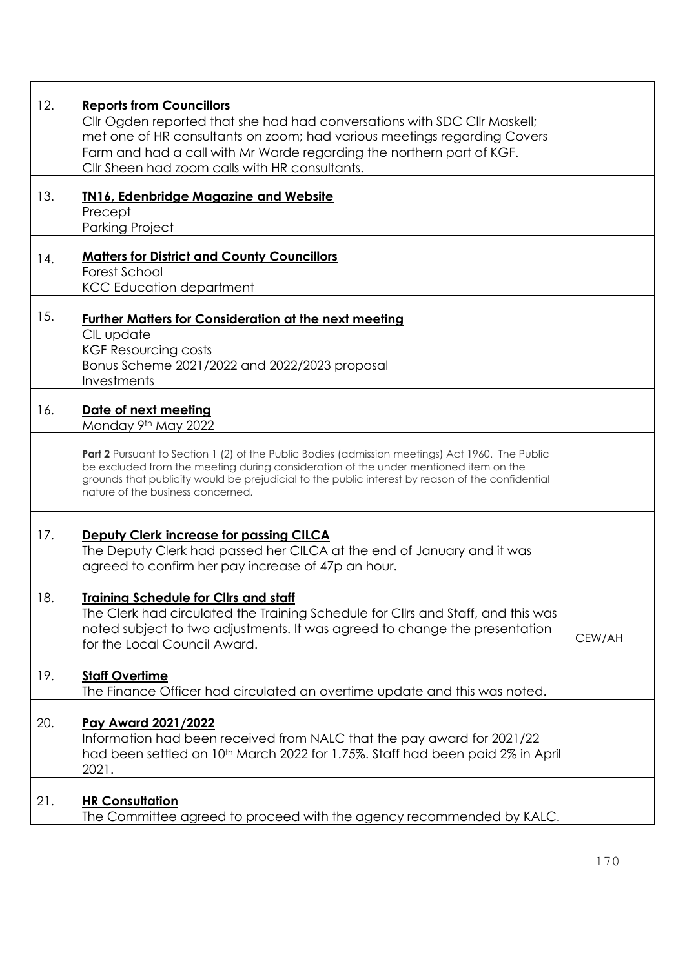| 12. | <b>Reports from Councillors</b><br>Cllr Ogden reported that she had had conversations with SDC Cllr Maskell;<br>met one of HR consultants on zoom; had various meetings regarding Covers<br>Farm and had a call with Mr Warde regarding the northern part of KGF.<br>Cllr Sheen had zoom calls with HR consultants.                     |        |
|-----|-----------------------------------------------------------------------------------------------------------------------------------------------------------------------------------------------------------------------------------------------------------------------------------------------------------------------------------------|--------|
| 13. | <b>IN16, Edenbridge Magazine and Website</b><br>Precept<br><b>Parking Project</b>                                                                                                                                                                                                                                                       |        |
| 14. | <b>Matters for District and County Councillors</b><br>Forest School<br><b>KCC Education department</b>                                                                                                                                                                                                                                  |        |
| 15. | <b>Further Matters for Consideration at the next meeting</b><br>CIL update<br><b>KGF Resourcing costs</b><br>Bonus Scheme 2021/2022 and 2022/2023 proposal<br>Investments                                                                                                                                                               |        |
| 16. | Date of next meeting<br>Monday 9th May 2022                                                                                                                                                                                                                                                                                             |        |
|     | <b>Part 2</b> Pursuant to Section 1 (2) of the Public Bodies (admission meetings) Act 1960. The Public<br>be excluded from the meeting during consideration of the under mentioned item on the<br>grounds that publicity would be prejudicial to the public interest by reason of the confidential<br>nature of the business concerned. |        |
| 17. | <b>Deputy Clerk increase for passing CILCA</b><br>The Deputy Clerk had passed her CILCA at the end of January and it was<br>agreed to confirm her pay increase of 47p an hour.                                                                                                                                                          |        |
| 18. | Training Schedule for Cllrs and staff<br>The Clerk had circulated the Training Schedule for Cllrs and Staff, and this was<br>noted subject to two adjustments. It was agreed to change the presentation<br>for the Local Council Award.                                                                                                 | CEW/AH |
| 19. | <b>Staff Overtime</b><br>The Finance Officer had circulated an overtime update and this was noted.                                                                                                                                                                                                                                      |        |
| 20. | Pay Award 2021/2022<br>Information had been received from NALC that the pay award for 2021/22<br>had been settled on 10 <sup>th</sup> March 2022 for 1.75%. Staff had been paid 2% in April<br>2021.                                                                                                                                    |        |
| 21. | <b>HR Consultation</b><br>The Committee agreed to proceed with the agency recommended by KALC.                                                                                                                                                                                                                                          |        |